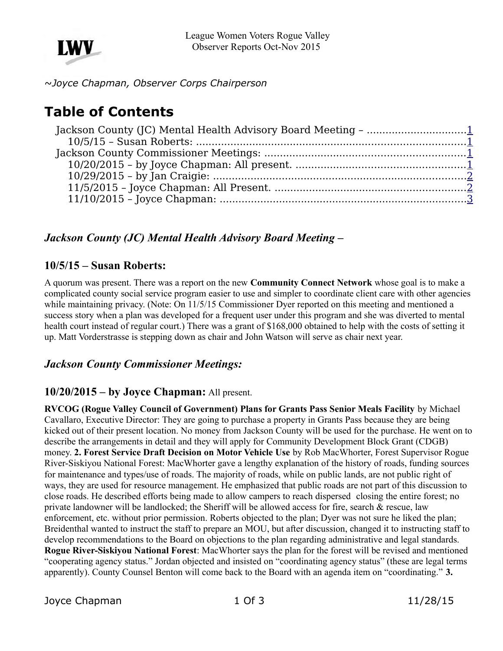

~*Joyce Chapman, Observer Corps Chairperson* 

# **Table of Contents**

### <span id="page-0-3"></span>*Jackson County (JC) Mental Health Advisory Board Meeting –*

#### <span id="page-0-2"></span>**10/5/15 – Susan Roberts:**

A quorum was present. There was a report on the new **Community Connect Network** whose goal is to make a complicated county social service program easier to use and simpler to coordinate client care with other agencies while maintaining privacy. (Note: On  $11/5/15$  Commissioner Dyer reported on this meeting and mentioned a success story when a plan was developed for a frequent user under this program and she was diverted to mental health court instead of regular court.) There was a grant of \$168,000 obtained to help with the costs of setting it up. Matt Vorderstrasse is stepping down as chair and John Watson will serve as chair next year.

#### <span id="page-0-1"></span>*Jackson County Commissioner Meetings:*

#### <span id="page-0-0"></span>**10/20/2015 – by Joyce Chapman:** All present.

**RVCOG (Rogue Valley Council of Government) Plans for Grants Pass Senior Meals Facility** by Michael Cavallaro, Executive Director: They are going to purchase a property in Grants Pass because they are being kicked out of their present location. No money from Jackson County will be used for the purchase. He went on to describe the arrangements in detail and they will apply for Community Development Block Grant (CDGB) money. **2. Forest Service Draft Decision on Motor Vehicle Use** by Rob MacWhorter, Forest Supervisor Rogue River-Siskiyou National Forest: MacWhorter gave a lengthy explanation of the history of roads, funding sources for maintenance and types/use of roads. The majority of roads, while on public lands, are not public right of ways, they are used for resource management. He emphasized that public roads are not part of this discussion to close roads. He described efforts being made to allow campers to reach dispersed closing the entire forest; no private landowner will be landlocked; the Sheriff will be allowed access for fire, search & rescue, law enforcement, etc. without prior permission. Roberts objected to the plan; Dyer was not sure he liked the plan; Breidenthal wanted to instruct the staff to prepare an MOU, but after discussion, changed it to instructing staff to develop recommendations to the Board on objections to the plan regarding administrative and legal standards. **Rogue River-Siskiyou National Forest**: MacWhorter says the plan for the forest will be revised and mentioned "cooperating agency status." Jordan objected and insisted on "coordinating agency status" (these are legal terms apparently). County Counsel Benton will come back to the Board with an agenda item on "coordinating." **3.**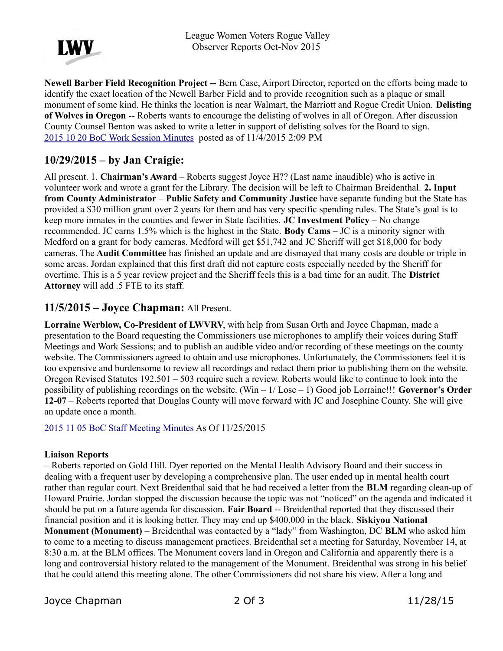

**Newell Barber Field Recognition Project --** Bern Case, Airport Director, reported on the efforts being made to identify the exact location of the Newell Barber Field and to provide recognition such as a plaque or small monument of some kind. He thinks the location is near Walmart, the Marriott and Rogue Credit Union. **Delisting of Wolves in Oregon** -- Roberts wants to encourage the delisting of wolves in all of Oregon. After discussion County Counsel Benton was asked to write a letter in support of delisting solves for the Board to sign. [2015 10 20 BoC Work Session Minutes](http://jacksoncountyor.org/Board-of-Commissioners/Meeting-Archive?EntryId=39614&Command=Core_Download) posted as of 11/4/2015 2:09 PM

## <span id="page-1-1"></span>**10/29/2015 – by Jan Craigie:**

All present. 1. **Chairman's Award** – Roberts suggest Joyce H?? (Last name inaudible) who is active in volunteer work and wrote a grant for the Library. The decision will be left to Chairman Breidenthal. **2. Input from County Administrator** – **Public Safety and Community Justice** have separate funding but the State has provided a \$30 million grant over 2 years for them and has very specific spending rules. The State's goal is to keep more inmates in the counties and fewer in State facilities. **JC Investment Policy** – No change recommended. JC earns 1.5% which is the highest in the State. **Body Cams** – JC is a minority signer with Medford on a grant for body cameras. Medford will get \$51,742 and JC Sheriff will get \$18,000 for body cameras. The **Audit Committee** has finished an update and are dismayed that many costs are double or triple in some areas. Jordan explained that this first draft did not capture costs especially needed by the Sheriff for overtime. This is a 5 year review project and the Sheriff feels this is a bad time for an audit. The **District Attorney** will add .5 FTE to its staff.

#### <span id="page-1-0"></span>**11/5/2015 – Joyce Chapman:** All Present.

**Lorraine Werblow, Co-President of LWVRV**, with help from Susan Orth and Joyce Chapman, made a presentation to the Board requesting the Commissioners use microphones to amplify their voices during Staff Meetings and Work Sessions; and to publish an audible video and/or recording of these meetings on the county website. The Commissioners agreed to obtain and use microphones. Unfortunately, the Commissioners feel it is too expensive and burdensome to review all recordings and redact them prior to publishing them on the website. Oregon Revised Statutes 192.501 – 503 require such a review. Roberts would like to continue to look into the possibility of publishing recordings on the website. (Win – 1/ Lose – 1) Good job Lorraine!!! **Governor's Order 12-07** – Roberts reported that Douglas County will move forward with JC and Josephine County. She will give an update once a month.

[2015 11 05 BoC Staff Meeting Minutes](http://jacksoncountyor.org/Board-of-Commissioners/Meeting-Archive?EntryId=39741&Command=Core_Download) As Of 11/25/2015

#### **Liaison Reports**

– Roberts reported on Gold Hill. Dyer reported on the Mental Health Advisory Board and their success in dealing with a frequent user by developing a comprehensive plan. The user ended up in mental health court rather than regular court. Next Breidenthal said that he had received a letter from the **BLM** regarding clean-up of Howard Prairie. Jordan stopped the discussion because the topic was not "noticed" on the agenda and indicated it should be put on a future agenda for discussion. **Fair Board** -- Breidenthal reported that they discussed their financial position and it is looking better. They may end up \$400,000 in the black. **Siskiyou National Monument (Monument)** – Breidenthal was contacted by a "lady" from Washington, DC **BLM** who asked him to come to a meeting to discuss management practices. Breidenthal set a meeting for Saturday, November 14, at 8:30 a.m. at the BLM offices. The Monument covers land in Oregon and California and apparently there is a long and controversial history related to the management of the Monument. Breidenthal was strong in his belief that he could attend this meeting alone. The other Commissioners did not share his view. After a long and

Joyce Chapman 2 Of 3 11/28/15